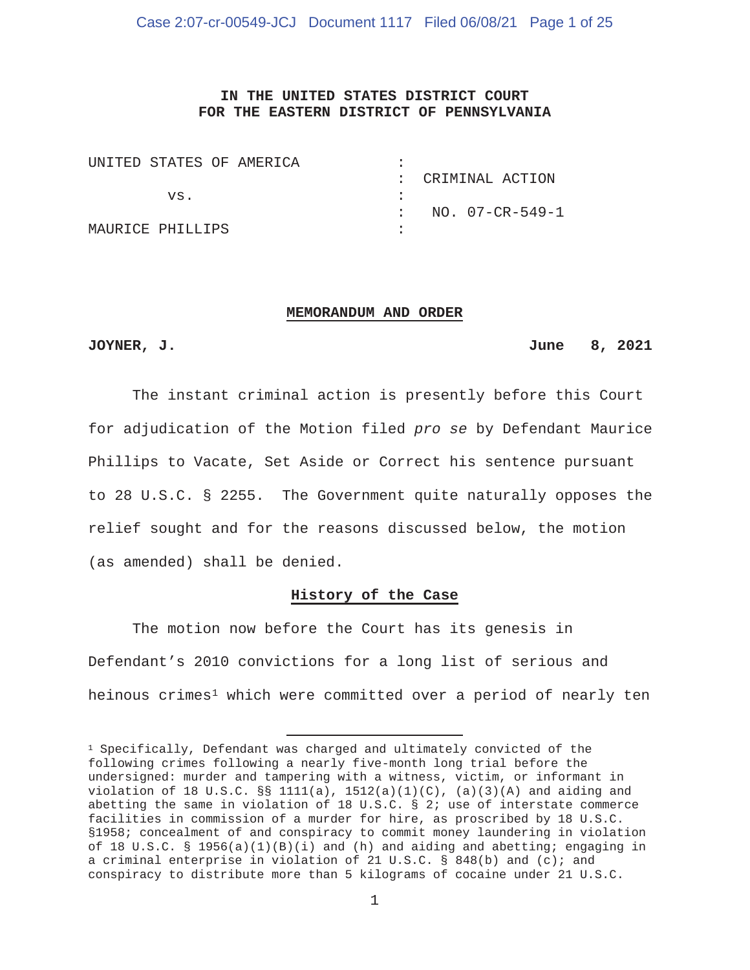## **IN THE UNITED STATES DISTRICT COURT FOR THE EASTERN DISTRICT OF PENNSYLVANIA**

| UNITED STATES OF AMERICA |  |                   |
|--------------------------|--|-------------------|
|                          |  | : CRIMINAL ACTION |
| VS.                      |  |                   |
|                          |  | NO. 07-CR-549-1   |
| MAURICE PHILLIPS         |  |                   |

#### **MEMORANDUM AND ORDER**

#### **JOYNER, J. June 8, 2021**

The instant criminal action is presently before this Court for adjudication of the Motion filed *pro se* by Defendant Maurice Phillips to Vacate, Set Aside or Correct his sentence pursuant to 28 U.S.C. § 2255. The Government quite naturally opposes the relief sought and for the reasons discussed below, the motion (as amended) shall be denied.

## **History of the Case**

The motion now before the Court has its genesis in Defendant's 2010 convictions for a long list of serious and heinous crimes<sup>1</sup> which were committed over a period of nearly ten

 $1$  Specifically, Defendant was charged and ultimately convicted of the following crimes following a nearly five-month long trial before the undersigned: murder and tampering with a witness, victim, or informant in violation of 18 U.S.C.  $\S$  1111(a), 1512(a)(1)(C), (a)(3)(A) and aiding and abetting the same in violation of 18 U.S.C. § 2; use of interstate commerce facilities in commission of a murder for hire, as proscribed by 18 U.S.C. §1958; concealment of and conspiracy to commit money laundering in violation of 18 U.S.C. § 1956(a)(1)(B)(i) and (h) and aiding and abetting; engaging in a criminal enterprise in violation of 21 U.S.C. § 848(b) and (c); and conspiracy to distribute more than 5 kilograms of cocaine under 21 U.S.C.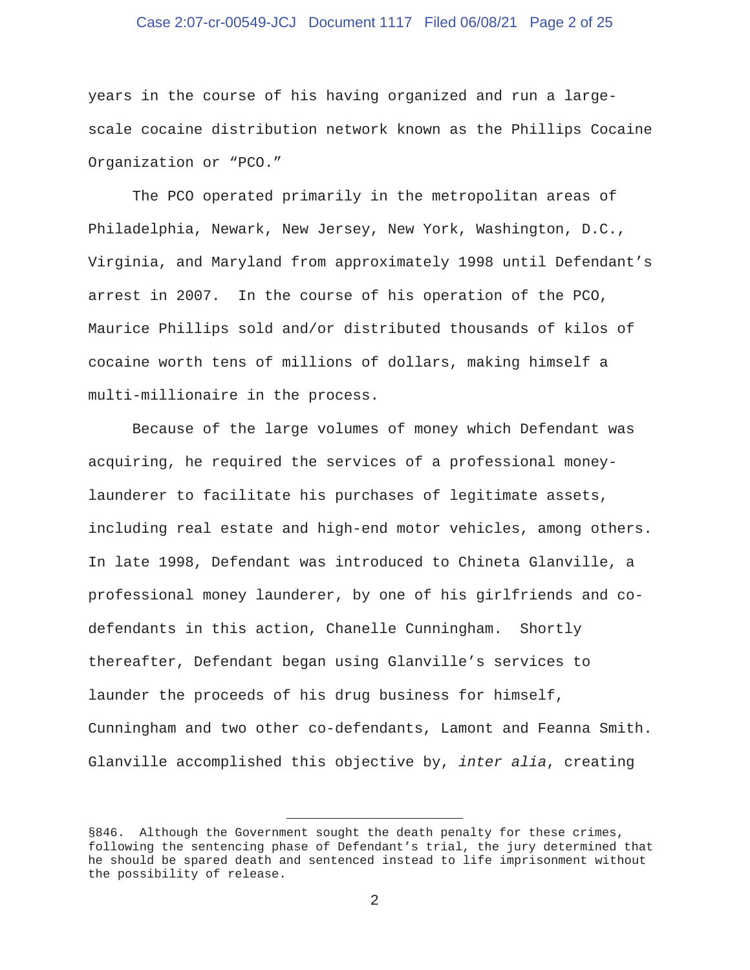## Case 2:07-cr-00549-JCJ Document 1117 Filed 06/08/21 Page 2 of 25

years in the course of his having organized and run a largescale cocaine distribution network known as the Phillips Cocaine Organization or "PCO."

 The PCO operated primarily in the metropolitan areas of Philadelphia, Newark, New Jersey, New York, Washington, D.C., Virginia, and Maryland from approximately 1998 until Defendant's arrest in 2007. In the course of his operation of the PCO, Maurice Phillips sold and/or distributed thousands of kilos of cocaine worth tens of millions of dollars, making himself a multi-millionaire in the process.

 Because of the large volumes of money which Defendant was acquiring, he required the services of a professional moneylaunderer to facilitate his purchases of legitimate assets, including real estate and high-end motor vehicles, among others. In late 1998, Defendant was introduced to Chineta Glanville, a professional money launderer, by one of his girlfriends and codefendants in this action, Chanelle Cunningham. Shortly thereafter, Defendant began using Glanville's services to launder the proceeds of his drug business for himself, Cunningham and two other co-defendants, Lamont and Feanna Smith. Glanville accomplished this objective by, *inter alia*, creating

<sup>§846.</sup> Although the Government sought the death penalty for these crimes, following the sentencing phase of Defendant's trial, the jury determined that he should be spared death and sentenced instead to life imprisonment without the possibility of release.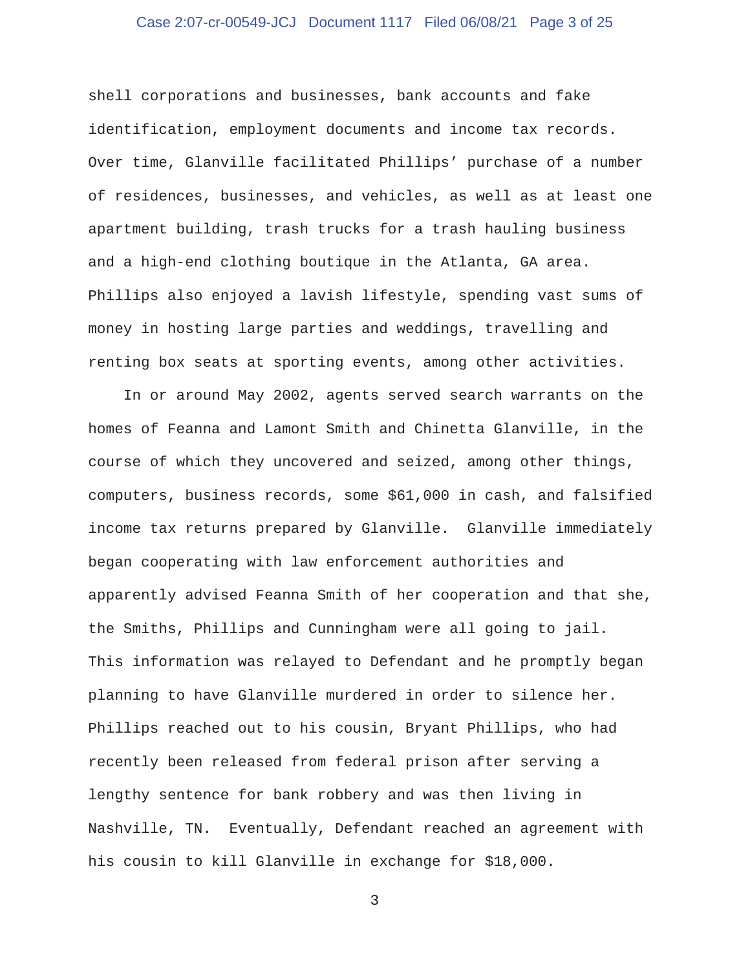## Case 2:07-cr-00549-JCJ Document 1117 Filed 06/08/21 Page 3 of 25

shell corporations and businesses, bank accounts and fake identification, employment documents and income tax records. Over time, Glanville facilitated Phillips' purchase of a number of residences, businesses, and vehicles, as well as at least one apartment building, trash trucks for a trash hauling business and a high-end clothing boutique in the Atlanta, GA area. Phillips also enjoyed a lavish lifestyle, spending vast sums of money in hosting large parties and weddings, travelling and renting box seats at sporting events, among other activities.

 In or around May 2002, agents served search warrants on the homes of Feanna and Lamont Smith and Chinetta Glanville, in the course of which they uncovered and seized, among other things, computers, business records, some \$61,000 in cash, and falsified income tax returns prepared by Glanville. Glanville immediately began cooperating with law enforcement authorities and apparently advised Feanna Smith of her cooperation and that she, the Smiths, Phillips and Cunningham were all going to jail. This information was relayed to Defendant and he promptly began planning to have Glanville murdered in order to silence her. Phillips reached out to his cousin, Bryant Phillips, who had recently been released from federal prison after serving a lengthy sentence for bank robbery and was then living in Nashville, TN. Eventually, Defendant reached an agreement with his cousin to kill Glanville in exchange for \$18,000.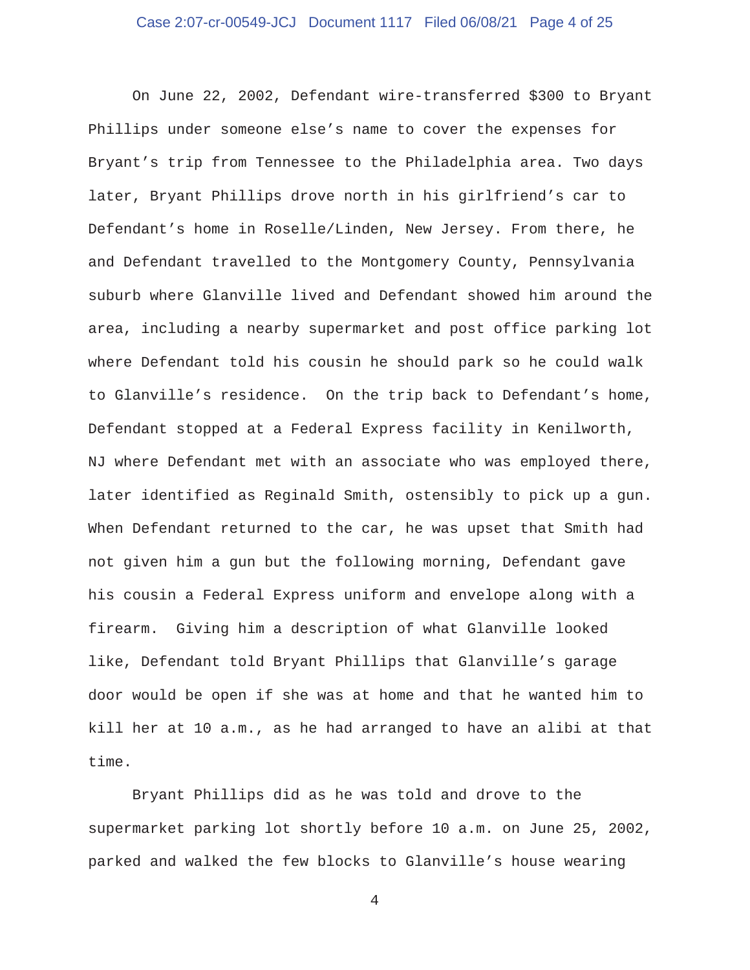## Case 2:07-cr-00549-JCJ Document 1117 Filed 06/08/21 Page 4 of 25

 On June 22, 2002, Defendant wire-transferred \$300 to Bryant Phillips under someone else's name to cover the expenses for Bryant's trip from Tennessee to the Philadelphia area. Two days later, Bryant Phillips drove north in his girlfriend's car to Defendant's home in Roselle/Linden, New Jersey. From there, he and Defendant travelled to the Montgomery County, Pennsylvania suburb where Glanville lived and Defendant showed him around the area, including a nearby supermarket and post office parking lot where Defendant told his cousin he should park so he could walk to Glanville's residence. On the trip back to Defendant's home, Defendant stopped at a Federal Express facility in Kenilworth, NJ where Defendant met with an associate who was employed there, later identified as Reginald Smith, ostensibly to pick up a gun. When Defendant returned to the car, he was upset that Smith had not given him a gun but the following morning, Defendant gave his cousin a Federal Express uniform and envelope along with a firearm. Giving him a description of what Glanville looked like, Defendant told Bryant Phillips that Glanville's garage door would be open if she was at home and that he wanted him to kill her at 10 a.m., as he had arranged to have an alibi at that time.

 Bryant Phillips did as he was told and drove to the supermarket parking lot shortly before 10 a.m. on June 25, 2002, parked and walked the few blocks to Glanville's house wearing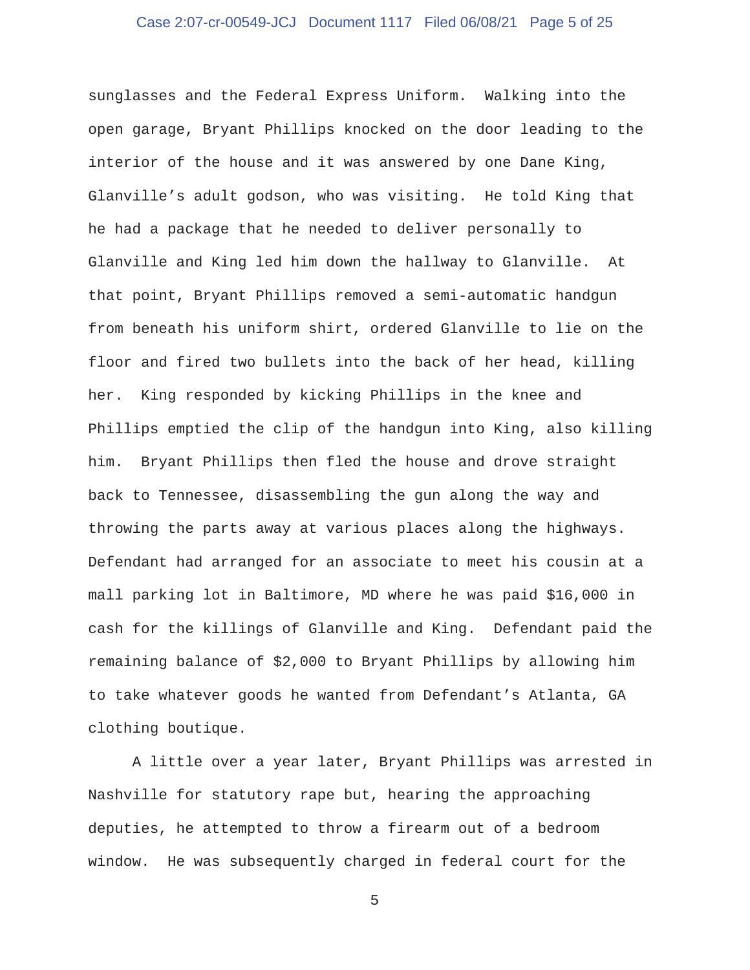## Case 2:07-cr-00549-JCJ Document 1117 Filed 06/08/21 Page 5 of 25

sunglasses and the Federal Express Uniform. Walking into the open garage, Bryant Phillips knocked on the door leading to the interior of the house and it was answered by one Dane King, Glanville's adult godson, who was visiting. He told King that he had a package that he needed to deliver personally to Glanville and King led him down the hallway to Glanville. At that point, Bryant Phillips removed a semi-automatic handgun from beneath his uniform shirt, ordered Glanville to lie on the floor and fired two bullets into the back of her head, killing her. King responded by kicking Phillips in the knee and Phillips emptied the clip of the handgun into King, also killing him. Bryant Phillips then fled the house and drove straight back to Tennessee, disassembling the gun along the way and throwing the parts away at various places along the highways. Defendant had arranged for an associate to meet his cousin at a mall parking lot in Baltimore, MD where he was paid \$16,000 in cash for the killings of Glanville and King. Defendant paid the remaining balance of \$2,000 to Bryant Phillips by allowing him to take whatever goods he wanted from Defendant's Atlanta, GA clothing boutique.

 A little over a year later, Bryant Phillips was arrested in Nashville for statutory rape but, hearing the approaching deputies, he attempted to throw a firearm out of a bedroom window. He was subsequently charged in federal court for the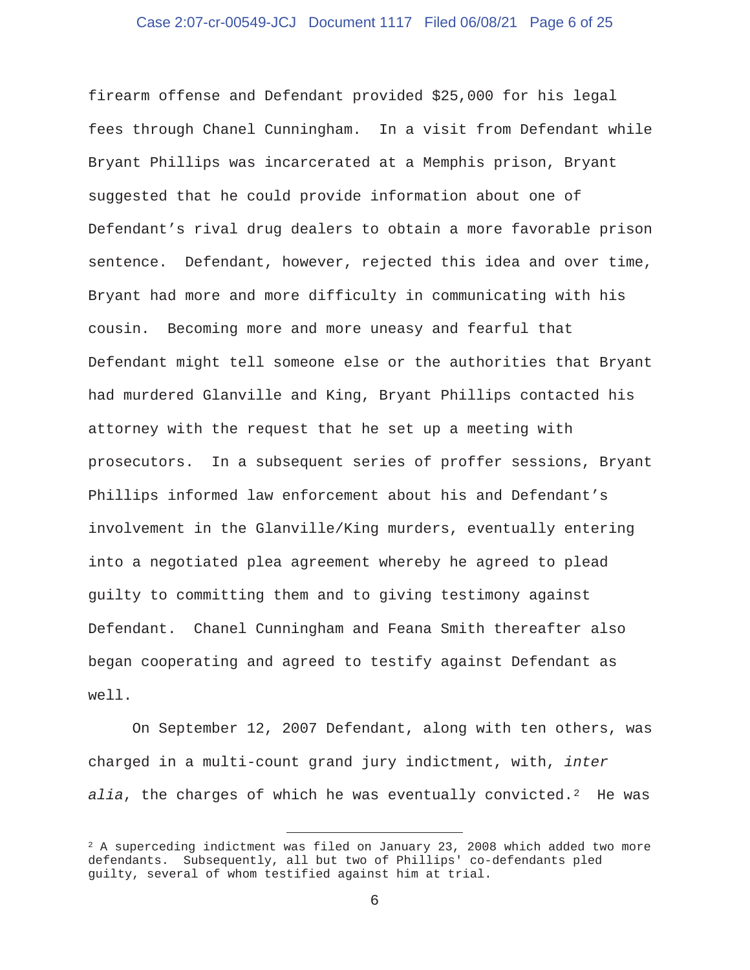## Case 2:07-cr-00549-JCJ Document 1117 Filed 06/08/21 Page 6 of 25

firearm offense and Defendant provided \$25,000 for his legal fees through Chanel Cunningham. In a visit from Defendant while Bryant Phillips was incarcerated at a Memphis prison, Bryant suggested that he could provide information about one of Defendant's rival drug dealers to obtain a more favorable prison sentence. Defendant, however, rejected this idea and over time, Bryant had more and more difficulty in communicating with his cousin. Becoming more and more uneasy and fearful that Defendant might tell someone else or the authorities that Bryant had murdered Glanville and King, Bryant Phillips contacted his attorney with the request that he set up a meeting with prosecutors. In a subsequent series of proffer sessions, Bryant Phillips informed law enforcement about his and Defendant's involvement in the Glanville/King murders, eventually entering into a negotiated plea agreement whereby he agreed to plead guilty to committing them and to giving testimony against Defendant. Chanel Cunningham and Feana Smith thereafter also began cooperating and agreed to testify against Defendant as well.

 On September 12, 2007 Defendant, along with ten others, was charged in a multi-count grand jury indictment, with, *inter alia*, the charges of which he was eventually convicted.2 He was

 $2$  A superceding indictment was filed on January 23, 2008 which added two more defendants. Subsequently, all but two of Phillips' co-defendants pled guilty, several of whom testified against him at trial.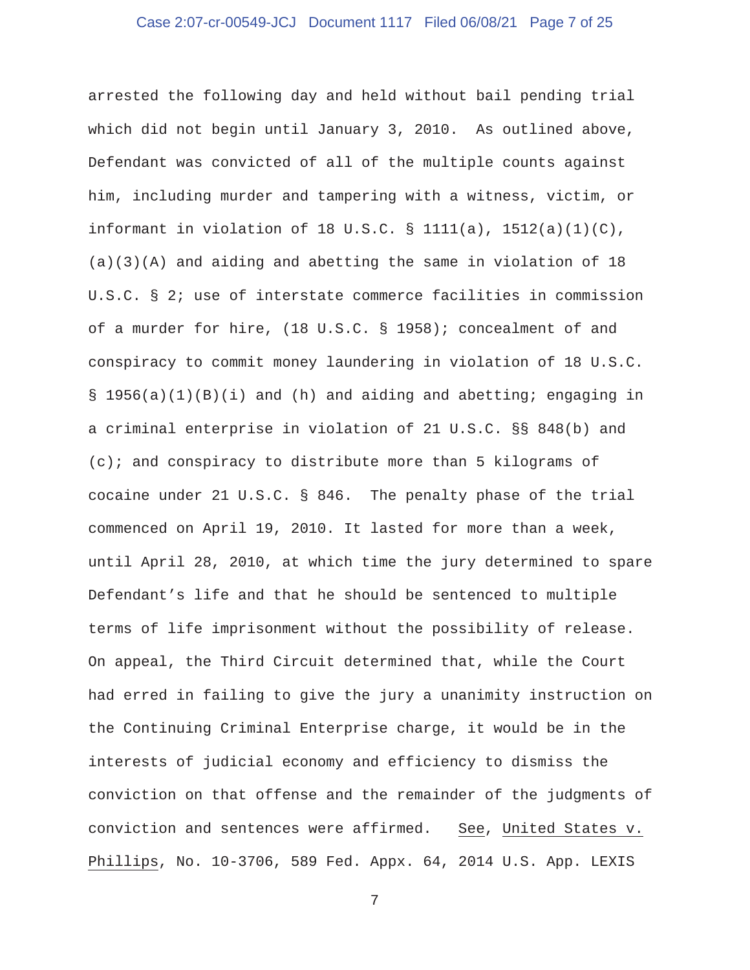## Case 2:07-cr-00549-JCJ Document 1117 Filed 06/08/21 Page 7 of 25

arrested the following day and held without bail pending trial which did not begin until January 3, 2010. As outlined above, Defendant was convicted of all of the multiple counts against him, including murder and tampering with a witness, victim, or informant in violation of 18 U.S.C.  $\S$  1111(a), 1512(a)(1)(C), (a)(3)(A) and aiding and abetting the same in violation of 18 U.S.C. § 2; use of interstate commerce facilities in commission of a murder for hire, (18 U.S.C. § 1958); concealment of and conspiracy to commit money laundering in violation of 18 U.S.C. § 1956(a)(1)(B)(i) and (h) and aiding and abetting; engaging in a criminal enterprise in violation of 21 U.S.C. §§ 848(b) and  $(c)$ ; and conspiracy to distribute more than 5 kilograms of cocaine under 21 U.S.C. § 846. The penalty phase of the trial commenced on April 19, 2010. It lasted for more than a week, until April 28, 2010, at which time the jury determined to spare Defendant's life and that he should be sentenced to multiple terms of life imprisonment without the possibility of release. On appeal, the Third Circuit determined that, while the Court had erred in failing to give the jury a unanimity instruction on the Continuing Criminal Enterprise charge, it would be in the interests of judicial economy and efficiency to dismiss the conviction on that offense and the remainder of the judgments of conviction and sentences were affirmed. See, United States v. Phillips, No. 10-3706, 589 Fed. Appx. 64, 2014 U.S. App. LEXIS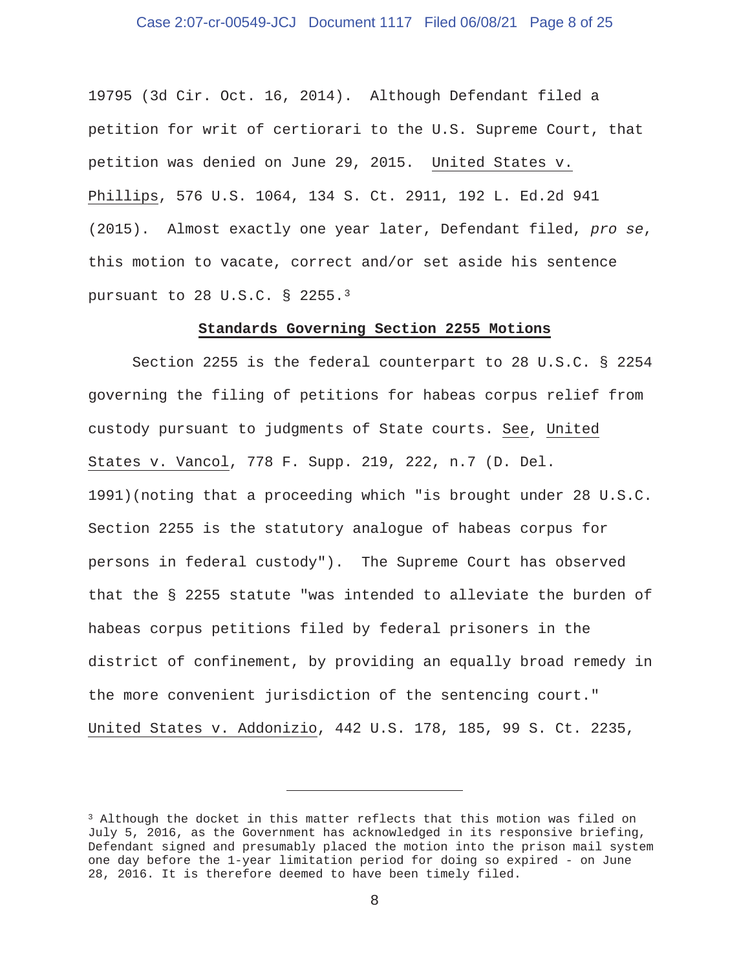## Case 2:07-cr-00549-JCJ Document 1117 Filed 06/08/21 Page 8 of 25

19795 (3d Cir. Oct. 16, 2014). Although Defendant filed a petition for writ of certiorari to the U.S. Supreme Court, that petition was denied on June 29, 2015. United States v. Phillips, 576 U.S. 1064, 134 S. Ct. 2911, 192 L. Ed.2d 941 (2015). Almost exactly one year later, Defendant filed, *pro se*, this motion to vacate, correct and/or set aside his sentence pursuant to 28 U.S.C. § 2255.3

#### **Standards Governing Section 2255 Motions**

 Section 2255 is the federal counterpart to 28 U.S.C. § 2254 governing the filing of petitions for habeas corpus relief from custody pursuant to judgments of State courts. See, United States v. Vancol, 778 F. Supp. 219, 222, n.7 (D. Del. 1991)(noting that a proceeding which "is brought under 28 U.S.C. Section 2255 is the statutory analogue of habeas corpus for persons in federal custody"). The Supreme Court has observed that the § 2255 statute "was intended to alleviate the burden of habeas corpus petitions filed by federal prisoners in the district of confinement, by providing an equally broad remedy in the more convenient jurisdiction of the sentencing court." United States v. Addonizio, 442 U.S. 178, 185, 99 S. Ct. 2235,

<sup>3</sup> Although the docket in this matter reflects that this motion was filed on July 5, 2016, as the Government has acknowledged in its responsive briefing, Defendant signed and presumably placed the motion into the prison mail system one day before the 1-year limitation period for doing so expired - on June 28, 2016. It is therefore deemed to have been timely filed.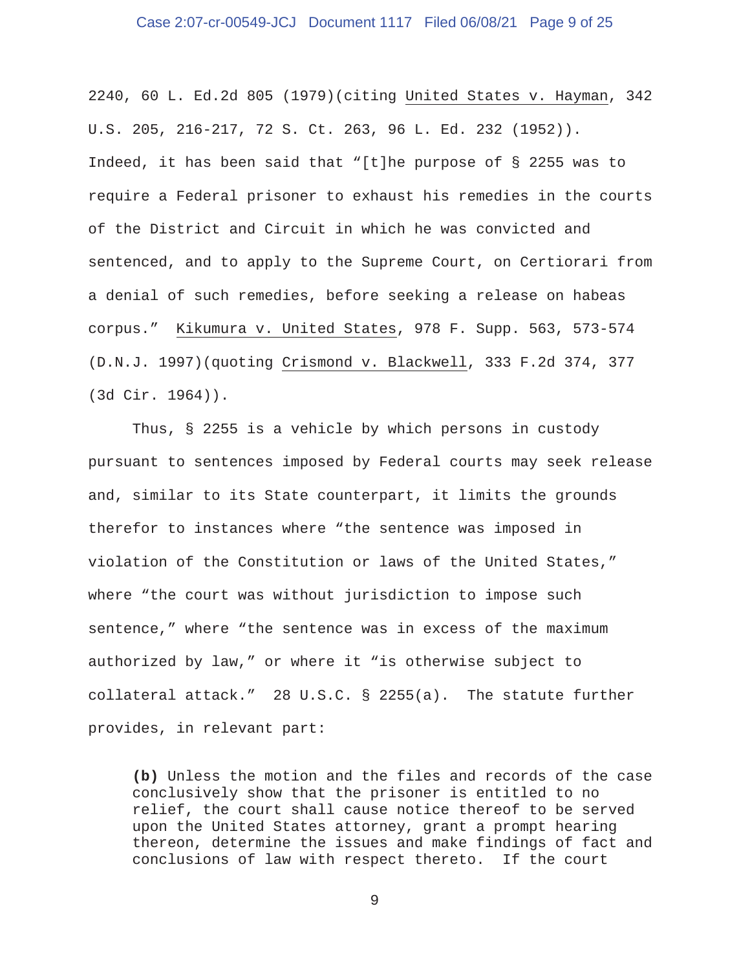## Case 2:07-cr-00549-JCJ Document 1117 Filed 06/08/21 Page 9 of 25

2240, 60 L. Ed.2d 805 (1979)(citing United States v. Hayman, 342 U.S. 205, 216-217, 72 S. Ct. 263, 96 L. Ed. 232 (1952)). Indeed, it has been said that "[t]he purpose of § 2255 was to require a Federal prisoner to exhaust his remedies in the courts of the District and Circuit in which he was convicted and sentenced, and to apply to the Supreme Court, on Certiorari from a denial of such remedies, before seeking a release on habeas corpus." Kikumura v. United States, 978 F. Supp. 563, 573-574 (D.N.J. 1997)(quoting Crismond v. Blackwell, 333 F.2d 374, 377 (3d Cir. 1964)).

 Thus, § 2255 is a vehicle by which persons in custody pursuant to sentences imposed by Federal courts may seek release and, similar to its State counterpart, it limits the grounds therefor to instances where "the sentence was imposed in violation of the Constitution or laws of the United States," where "the court was without jurisdiction to impose such sentence," where "the sentence was in excess of the maximum authorized by law," or where it "is otherwise subject to collateral attack." 28 U.S.C. § 2255(a). The statute further provides, in relevant part:

**(b)** Unless the motion and the files and records of the case conclusively show that the prisoner is entitled to no relief, the court shall cause notice thereof to be served upon the United States attorney, grant a prompt hearing thereon, determine the issues and make findings of fact and conclusions of law with respect thereto. If the court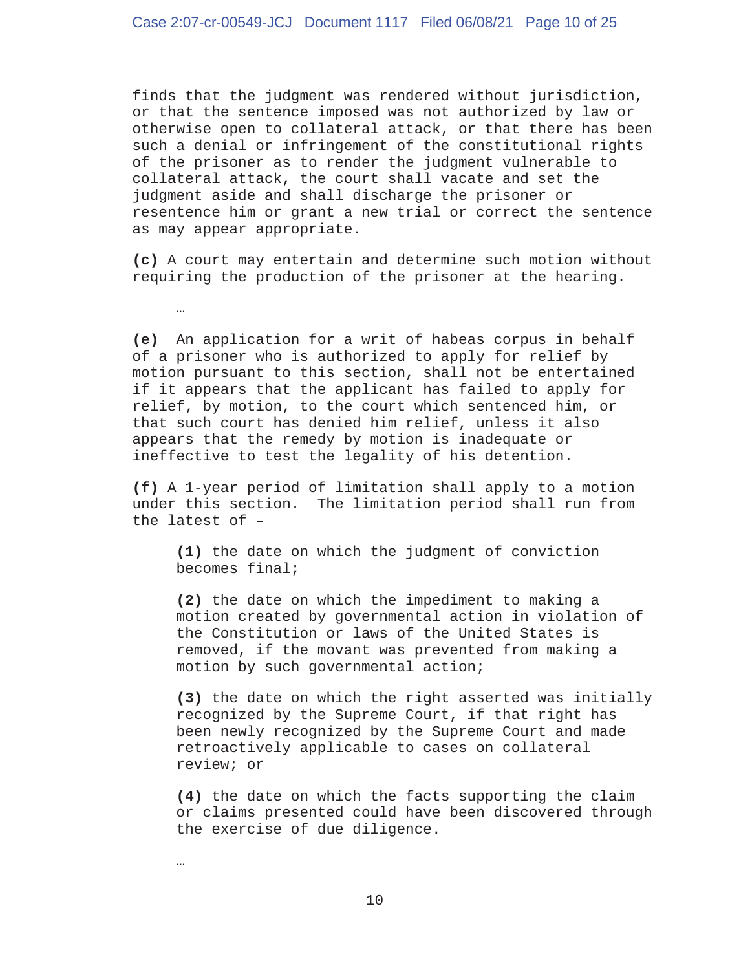finds that the judgment was rendered without jurisdiction, or that the sentence imposed was not authorized by law or otherwise open to collateral attack, or that there has been such a denial or infringement of the constitutional rights of the prisoner as to render the judgment vulnerable to collateral attack, the court shall vacate and set the judgment aside and shall discharge the prisoner or resentence him or grant a new trial or correct the sentence as may appear appropriate.

**(c)** A court may entertain and determine such motion without requiring the production of the prisoner at the hearing.

**(e)** An application for a writ of habeas corpus in behalf of a prisoner who is authorized to apply for relief by motion pursuant to this section, shall not be entertained if it appears that the applicant has failed to apply for relief, by motion, to the court which sentenced him, or that such court has denied him relief, unless it also appears that the remedy by motion is inadequate or ineffective to test the legality of his detention.

**(f)** A 1-year period of limitation shall apply to a motion under this section. The limitation period shall run from the latest of –

 **(1)** the date on which the judgment of conviction becomes final;

 **(2)** the date on which the impediment to making a motion created by governmental action in violation of the Constitution or laws of the United States is removed, if the movant was prevented from making a motion by such governmental action;

 **(3)** the date on which the right asserted was initially recognized by the Supreme Court, if that right has been newly recognized by the Supreme Court and made retroactively applicable to cases on collateral review; or

 **(4)** the date on which the facts supporting the claim or claims presented could have been discovered through the exercise of due diligence.

…

…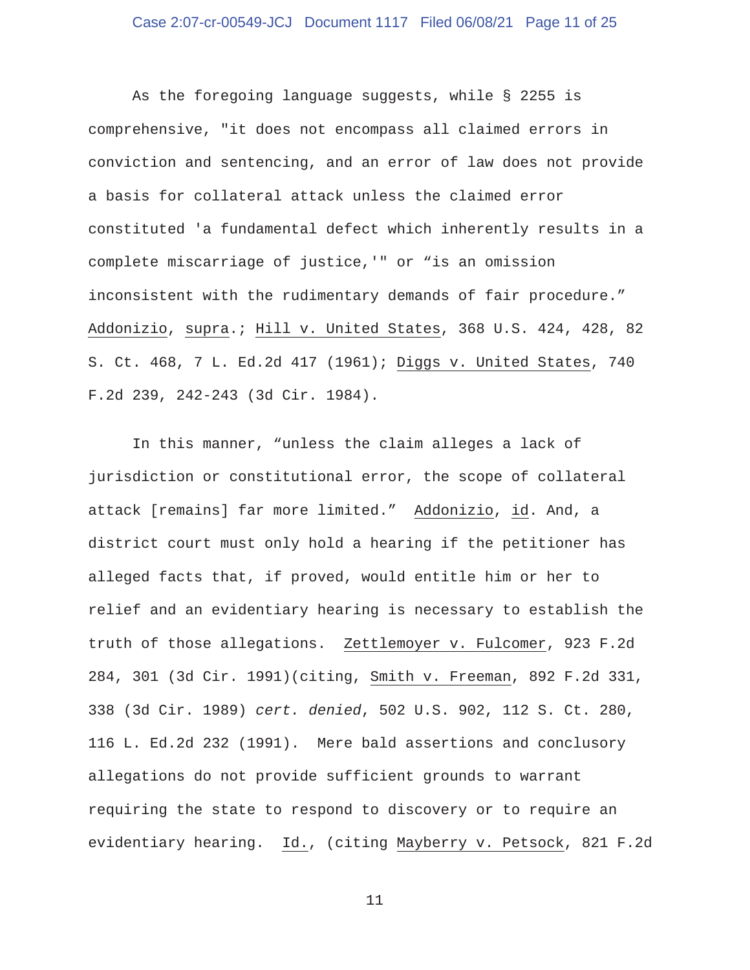## Case 2:07-cr-00549-JCJ Document 1117 Filed 06/08/21 Page 11 of 25

 As the foregoing language suggests, while § 2255 is comprehensive, "it does not encompass all claimed errors in conviction and sentencing, and an error of law does not provide a basis for collateral attack unless the claimed error constituted 'a fundamental defect which inherently results in a complete miscarriage of justice,'" or "is an omission inconsistent with the rudimentary demands of fair procedure." Addonizio, supra.; Hill v. United States, 368 U.S. 424, 428, 82 S. Ct. 468, 7 L. Ed.2d 417 (1961); Diggs v. United States, 740 F.2d 239, 242-243 (3d Cir. 1984).

 In this manner, "unless the claim alleges a lack of jurisdiction or constitutional error, the scope of collateral attack [remains] far more limited." Addonizio, id. And, a district court must only hold a hearing if the petitioner has alleged facts that, if proved, would entitle him or her to relief and an evidentiary hearing is necessary to establish the truth of those allegations. Zettlemoyer v. Fulcomer, 923 F.2d 284, 301 (3d Cir. 1991)(citing, Smith v. Freeman, 892 F.2d 331, 338 (3d Cir. 1989) *cert. denied*, 502 U.S. 902, 112 S. Ct. 280, 116 L. Ed.2d 232 (1991). Mere bald assertions and conclusory allegations do not provide sufficient grounds to warrant requiring the state to respond to discovery or to require an evidentiary hearing. Id., (citing Mayberry v. Petsock, 821 F.2d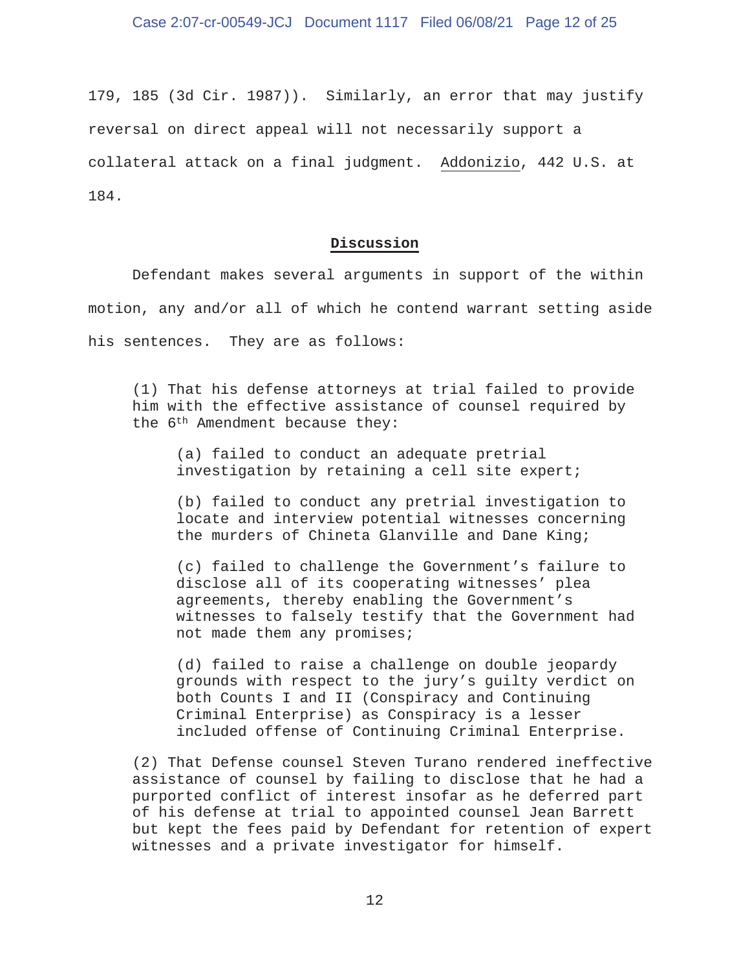179, 185 (3d Cir. 1987)). Similarly, an error that may justify reversal on direct appeal will not necessarily support a collateral attack on a final judgment. Addonizio, 442 U.S. at 184.

## **Discussion**

 Defendant makes several arguments in support of the within motion, any and/or all of which he contend warrant setting aside his sentences. They are as follows:

 (1) That his defense attorneys at trial failed to provide him with the effective assistance of counsel required by the 6th Amendment because they:

 (a) failed to conduct an adequate pretrial investigation by retaining a cell site expert;

 (b) failed to conduct any pretrial investigation to locate and interview potential witnesses concerning the murders of Chineta Glanville and Dane King;

 (c) failed to challenge the Government's failure to disclose all of its cooperating witnesses' plea agreements, thereby enabling the Government's witnesses to falsely testify that the Government had not made them any promises;

 (d) failed to raise a challenge on double jeopardy grounds with respect to the jury's guilty verdict on both Counts I and II (Conspiracy and Continuing Criminal Enterprise) as Conspiracy is a lesser included offense of Continuing Criminal Enterprise.

 (2) That Defense counsel Steven Turano rendered ineffective assistance of counsel by failing to disclose that he had a purported conflict of interest insofar as he deferred part of his defense at trial to appointed counsel Jean Barrett but kept the fees paid by Defendant for retention of expert witnesses and a private investigator for himself.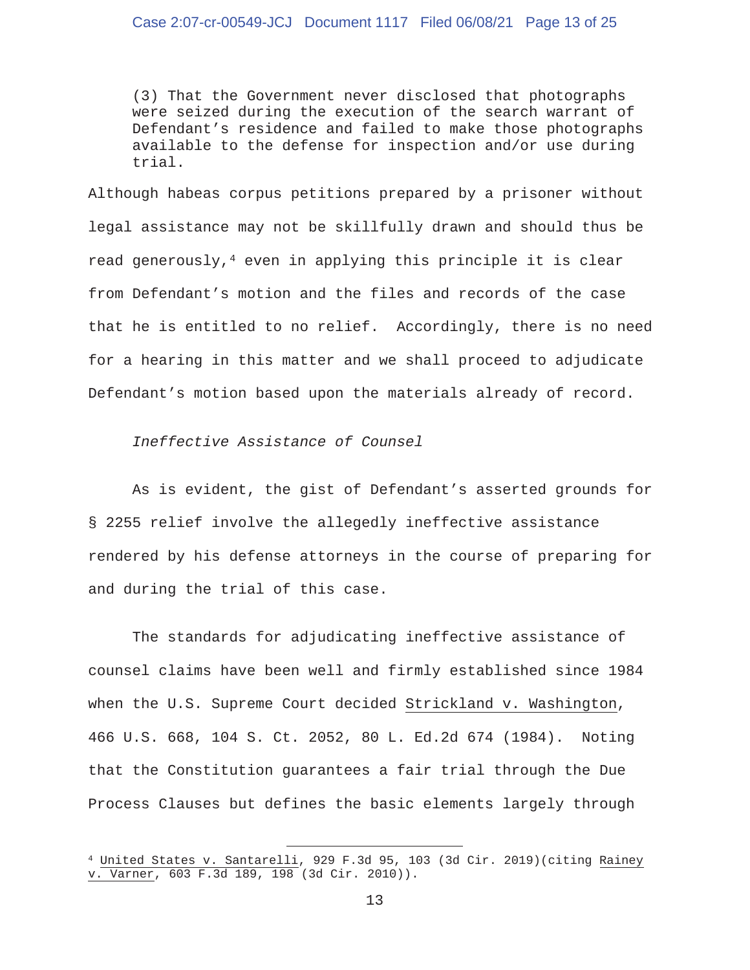(3) That the Government never disclosed that photographs were seized during the execution of the search warrant of Defendant's residence and failed to make those photographs available to the defense for inspection and/or use during trial.

Although habeas corpus petitions prepared by a prisoner without legal assistance may not be skillfully drawn and should thus be read generously,<sup>4</sup> even in applying this principle it is clear from Defendant's motion and the files and records of the case that he is entitled to no relief. Accordingly, there is no need for a hearing in this matter and we shall proceed to adjudicate Defendant's motion based upon the materials already of record.

 *Ineffective Assistance of Counsel* 

 As is evident, the gist of Defendant's asserted grounds for § 2255 relief involve the allegedly ineffective assistance rendered by his defense attorneys in the course of preparing for and during the trial of this case.

 The standards for adjudicating ineffective assistance of counsel claims have been well and firmly established since 1984 when the U.S. Supreme Court decided Strickland v. Washington, 466 U.S. 668, 104 S. Ct. 2052, 80 L. Ed.2d 674 (1984). Noting that the Constitution guarantees a fair trial through the Due Process Clauses but defines the basic elements largely through

<sup>4</sup> United States v. Santarelli, 929 F.3d 95, 103 (3d Cir. 2019)(citing Rainey v. Varner, 603 F.3d 189, 198 (3d Cir. 2010)).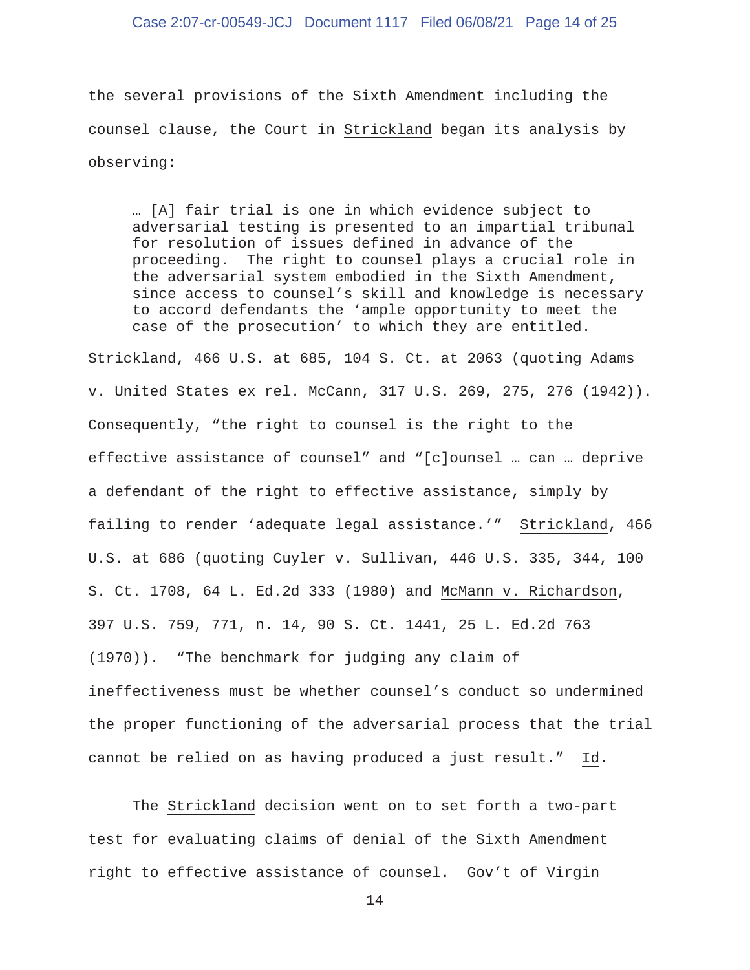### Case 2:07-cr-00549-JCJ Document 1117 Filed 06/08/21 Page 14 of 25

the several provisions of the Sixth Amendment including the counsel clause, the Court in Strickland began its analysis by observing:

 … [A] fair trial is one in which evidence subject to adversarial testing is presented to an impartial tribunal for resolution of issues defined in advance of the proceeding. The right to counsel plays a crucial role in the adversarial system embodied in the Sixth Amendment, since access to counsel's skill and knowledge is necessary to accord defendants the 'ample opportunity to meet the case of the prosecution' to which they are entitled.

Strickland, 466 U.S. at 685, 104 S. Ct. at 2063 (quoting Adams v. United States ex rel. McCann, 317 U.S. 269, 275, 276 (1942)). Consequently, "the right to counsel is the right to the effective assistance of counsel" and "[c]ounsel … can … deprive a defendant of the right to effective assistance, simply by failing to render 'adequate legal assistance.'" Strickland, 466 U.S. at 686 (quoting Cuyler v. Sullivan, 446 U.S. 335, 344, 100 S. Ct. 1708, 64 L. Ed.2d 333 (1980) and McMann v. Richardson, 397 U.S. 759, 771, n. 14, 90 S. Ct. 1441, 25 L. Ed.2d 763 (1970)). "The benchmark for judging any claim of ineffectiveness must be whether counsel's conduct so undermined the proper functioning of the adversarial process that the trial cannot be relied on as having produced a just result." Id.

 The Strickland decision went on to set forth a two-part test for evaluating claims of denial of the Sixth Amendment right to effective assistance of counsel. Gov't of Virgin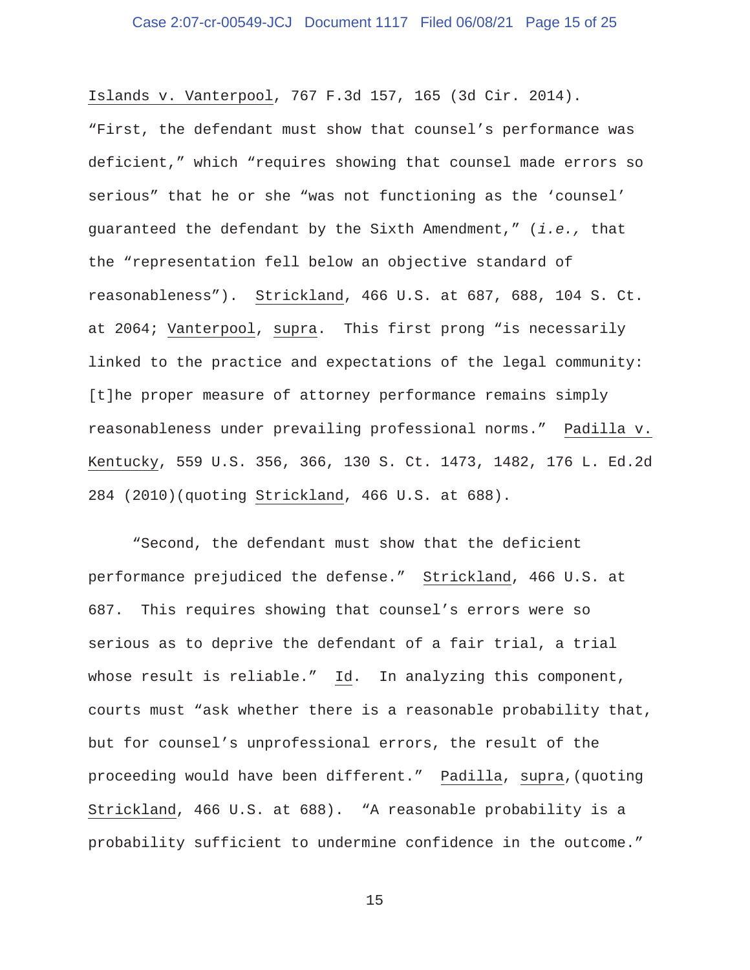## Case 2:07-cr-00549-JCJ Document 1117 Filed 06/08/21 Page 15 of 25

Islands v. Vanterpool, 767 F.3d 157, 165 (3d Cir. 2014). "First, the defendant must show that counsel's performance was deficient," which "requires showing that counsel made errors so serious" that he or she "was not functioning as the 'counsel' guaranteed the defendant by the Sixth Amendment," (*i.e.,* that the "representation fell below an objective standard of reasonableness"). Strickland, 466 U.S. at 687, 688, 104 S. Ct. at 2064; Vanterpool, supra. This first prong "is necessarily linked to the practice and expectations of the legal community: [t]he proper measure of attorney performance remains simply reasonableness under prevailing professional norms." Padilla v. Kentucky, 559 U.S. 356, 366, 130 S. Ct. 1473, 1482, 176 L. Ed.2d 284 (2010)(quoting Strickland, 466 U.S. at 688).

 "Second, the defendant must show that the deficient performance prejudiced the defense." Strickland, 466 U.S. at 687. This requires showing that counsel's errors were so serious as to deprive the defendant of a fair trial, a trial whose result is reliable." Id. In analyzing this component, courts must "ask whether there is a reasonable probability that, but for counsel's unprofessional errors, the result of the proceeding would have been different." Padilla, supra,(quoting Strickland, 466 U.S. at 688). "A reasonable probability is a probability sufficient to undermine confidence in the outcome."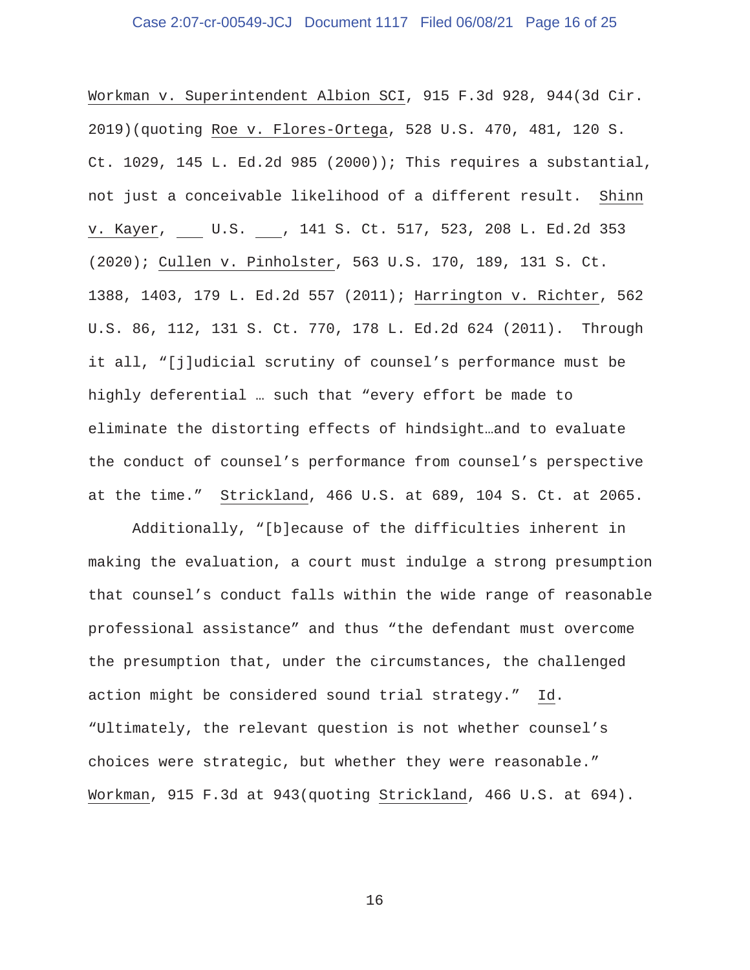## Case 2:07-cr-00549-JCJ Document 1117 Filed 06/08/21 Page 16 of 25

Workman v. Superintendent Albion SCI, 915 F.3d 928, 944(3d Cir. 2019)(quoting Roe v. Flores-Ortega, 528 U.S. 470, 481, 120 S. Ct. 1029, 145 L. Ed.2d 985 (2000)); This requires a substantial, not just a conceivable likelihood of a different result. Shinn v. Kayer, U.S. , 141 S. Ct. 517, 523, 208 L. Ed.2d 353 (2020); Cullen v. Pinholster, 563 U.S. 170, 189, 131 S. Ct. 1388, 1403, 179 L. Ed.2d 557 (2011); Harrington v. Richter, 562 U.S. 86, 112, 131 S. Ct. 770, 178 L. Ed.2d 624 (2011). Through it all, "[j]udicial scrutiny of counsel's performance must be highly deferential … such that "every effort be made to eliminate the distorting effects of hindsight…and to evaluate the conduct of counsel's performance from counsel's perspective at the time." Strickland, 466 U.S. at 689, 104 S. Ct. at 2065.

 Additionally, "[b]ecause of the difficulties inherent in making the evaluation, a court must indulge a strong presumption that counsel's conduct falls within the wide range of reasonable professional assistance" and thus "the defendant must overcome the presumption that, under the circumstances, the challenged action might be considered sound trial strategy." Id. "Ultimately, the relevant question is not whether counsel's choices were strategic, but whether they were reasonable." Workman, 915 F.3d at 943(quoting Strickland, 466 U.S. at 694).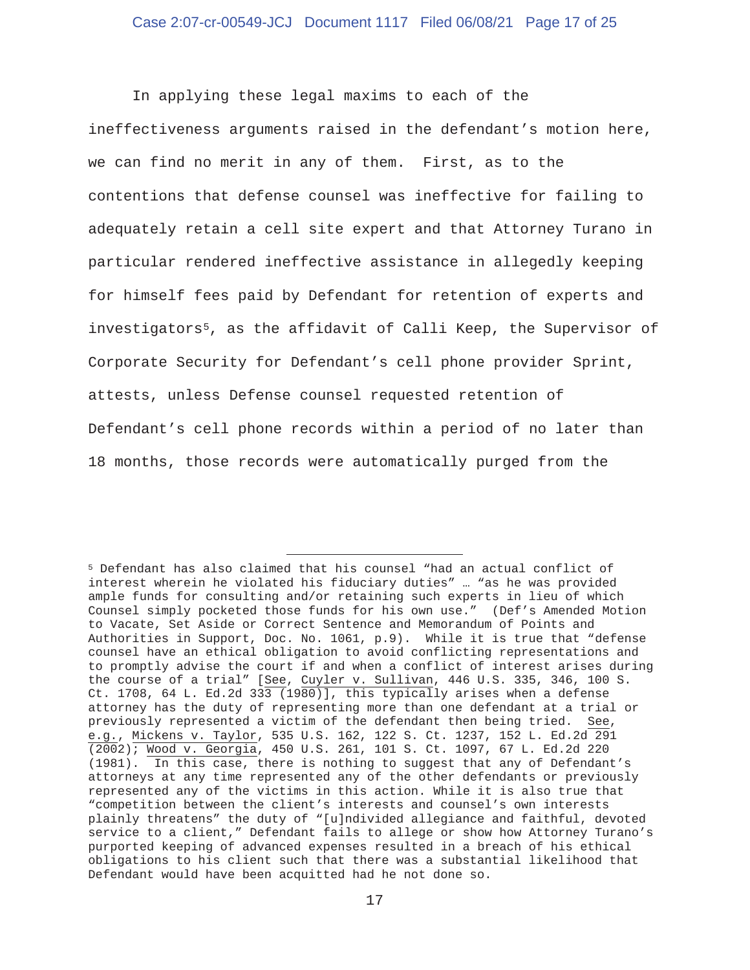In applying these legal maxims to each of the ineffectiveness arguments raised in the defendant's motion here, we can find no merit in any of them. First, as to the contentions that defense counsel was ineffective for failing to adequately retain a cell site expert and that Attorney Turano in particular rendered ineffective assistance in allegedly keeping for himself fees paid by Defendant for retention of experts and investigators5, as the affidavit of Calli Keep, the Supervisor of Corporate Security for Defendant's cell phone provider Sprint, attests, unless Defense counsel requested retention of Defendant's cell phone records within a period of no later than 18 months, those records were automatically purged from the

<sup>5</sup> Defendant has also claimed that his counsel "had an actual conflict of interest wherein he violated his fiduciary duties" … "as he was provided ample funds for consulting and/or retaining such experts in lieu of which Counsel simply pocketed those funds for his own use." (Def's Amended Motion to Vacate, Set Aside or Correct Sentence and Memorandum of Points and Authorities in Support, Doc. No. 1061, p.9). While it is true that "defense counsel have an ethical obligation to avoid conflicting representations and to promptly advise the court if and when a conflict of interest arises during the course of a trial" [See, Cuyler v. Sullivan, 446 U.S. 335, 346, 100 S. Ct. 1708, 64 L. Ed.2d 333 (1980)], this typically arises when a defense attorney has the duty of representing more than one defendant at a trial or previously represented a victim of the defendant then being tried. See, e.g., Mickens v. Taylor, 535 U.S. 162, 122 S. Ct. 1237, 152 L. Ed.2d 291 (2002); Wood v. Georgia, 450 U.S. 261, 101 S. Ct. 1097, 67 L. Ed.2d 220 (1981). In this case, there is nothing to suggest that any of Defendant's attorneys at any time represented any of the other defendants or previously represented any of the victims in this action. While it is also true that "competition between the client's interests and counsel's own interests plainly threatens" the duty of "[u]ndivided allegiance and faithful, devoted service to a client," Defendant fails to allege or show how Attorney Turano's purported keeping of advanced expenses resulted in a breach of his ethical obligations to his client such that there was a substantial likelihood that Defendant would have been acquitted had he not done so.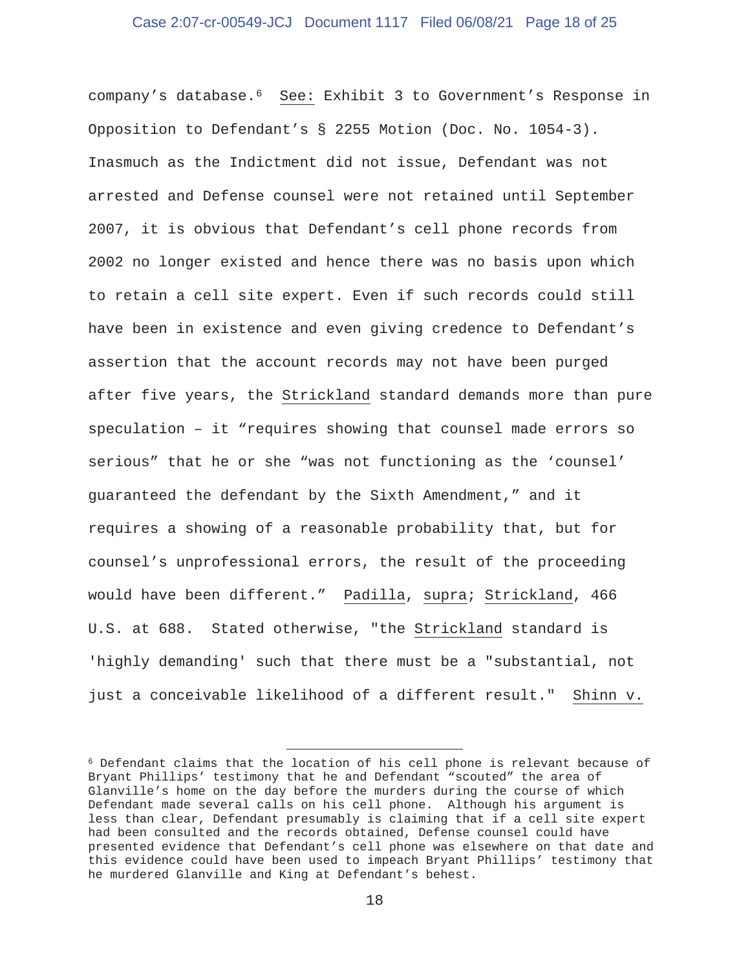## Case 2:07-cr-00549-JCJ Document 1117 Filed 06/08/21 Page 18 of 25

company's database.6 See: Exhibit 3 to Government's Response in Opposition to Defendant's § 2255 Motion (Doc. No. 1054-3). Inasmuch as the Indictment did not issue, Defendant was not arrested and Defense counsel were not retained until September 2007, it is obvious that Defendant's cell phone records from 2002 no longer existed and hence there was no basis upon which to retain a cell site expert. Even if such records could still have been in existence and even giving credence to Defendant's assertion that the account records may not have been purged after five years, the Strickland standard demands more than pure speculation – it "requires showing that counsel made errors so serious" that he or she "was not functioning as the 'counsel' guaranteed the defendant by the Sixth Amendment," and it requires a showing of a reasonable probability that, but for counsel's unprofessional errors, the result of the proceeding would have been different." Padilla, supra; Strickland, 466 U.S. at 688. Stated otherwise, "the Strickland standard is 'highly demanding' such that there must be a "substantial, not just a conceivable likelihood of a different result." Shinn v.

<sup>6</sup> Defendant claims that the location of his cell phone is relevant because of Bryant Phillips' testimony that he and Defendant "scouted" the area of Glanville's home on the day before the murders during the course of which Defendant made several calls on his cell phone. Although his argument is less than clear, Defendant presumably is claiming that if a cell site expert had been consulted and the records obtained, Defense counsel could have presented evidence that Defendant's cell phone was elsewhere on that date and this evidence could have been used to impeach Bryant Phillips' testimony that he murdered Glanville and King at Defendant's behest.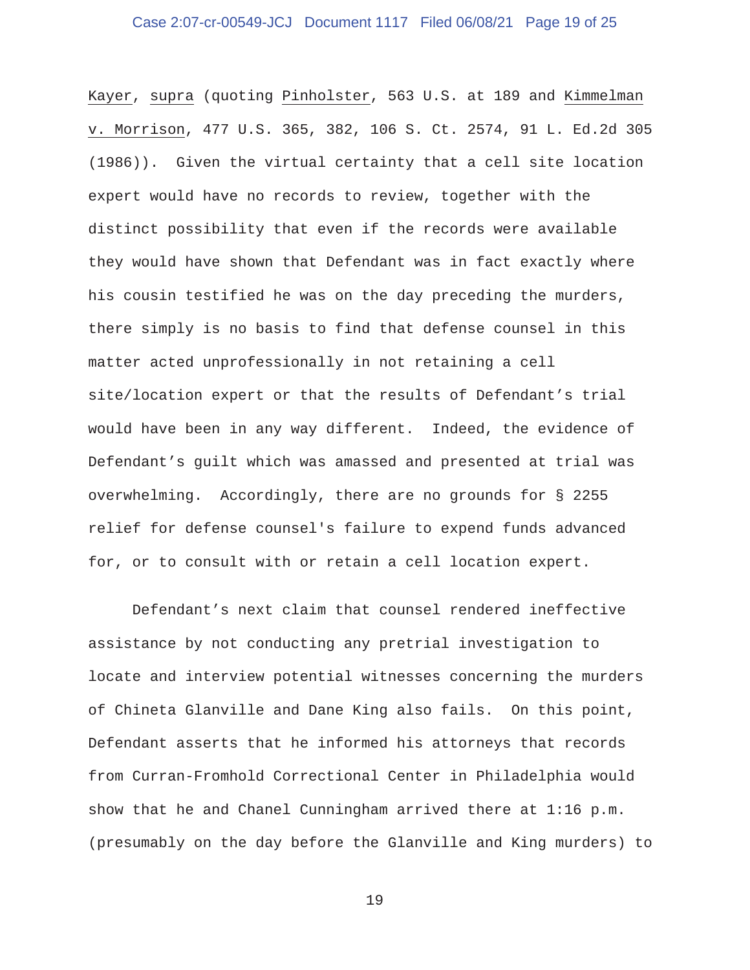## Case 2:07-cr-00549-JCJ Document 1117 Filed 06/08/21 Page 19 of 25

Kayer, supra (quoting Pinholster, 563 U.S. at 189 and Kimmelman v. Morrison, 477 U.S. 365, 382, 106 S. Ct. 2574, 91 L. Ed.2d 305 (1986)). Given the virtual certainty that a cell site location expert would have no records to review, together with the distinct possibility that even if the records were available they would have shown that Defendant was in fact exactly where his cousin testified he was on the day preceding the murders, there simply is no basis to find that defense counsel in this matter acted unprofessionally in not retaining a cell site/location expert or that the results of Defendant's trial would have been in any way different. Indeed, the evidence of Defendant's guilt which was amassed and presented at trial was overwhelming. Accordingly, there are no grounds for § 2255 relief for defense counsel's failure to expend funds advanced for, or to consult with or retain a cell location expert.

 Defendant's next claim that counsel rendered ineffective assistance by not conducting any pretrial investigation to locate and interview potential witnesses concerning the murders of Chineta Glanville and Dane King also fails. On this point, Defendant asserts that he informed his attorneys that records from Curran-Fromhold Correctional Center in Philadelphia would show that he and Chanel Cunningham arrived there at 1:16 p.m. (presumably on the day before the Glanville and King murders) to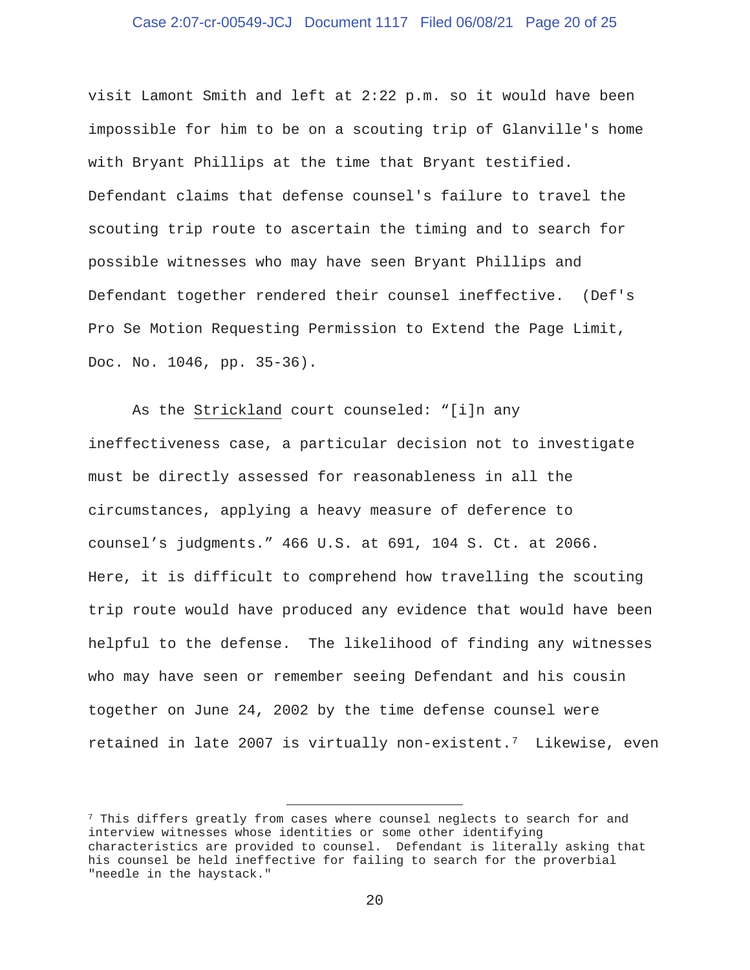## Case 2:07-cr-00549-JCJ Document 1117 Filed 06/08/21 Page 20 of 25

visit Lamont Smith and left at 2:22 p.m. so it would have been impossible for him to be on a scouting trip of Glanville's home with Bryant Phillips at the time that Bryant testified. Defendant claims that defense counsel's failure to travel the scouting trip route to ascertain the timing and to search for possible witnesses who may have seen Bryant Phillips and Defendant together rendered their counsel ineffective. (Def's Pro Se Motion Requesting Permission to Extend the Page Limit, Doc. No. 1046, pp. 35-36).

 As the Strickland court counseled: "[i]n any ineffectiveness case, a particular decision not to investigate must be directly assessed for reasonableness in all the circumstances, applying a heavy measure of deference to counsel's judgments." 466 U.S. at 691, 104 S. Ct. at 2066. Here, it is difficult to comprehend how travelling the scouting trip route would have produced any evidence that would have been helpful to the defense. The likelihood of finding any witnesses who may have seen or remember seeing Defendant and his cousin together on June 24, 2002 by the time defense counsel were retained in late 2007 is virtually non-existent.7 Likewise, even

<sup>&</sup>lt;sup>7</sup> This differs greatly from cases where counsel neglects to search for and interview witnesses whose identities or some other identifying characteristics are provided to counsel. Defendant is literally asking that his counsel be held ineffective for failing to search for the proverbial "needle in the haystack."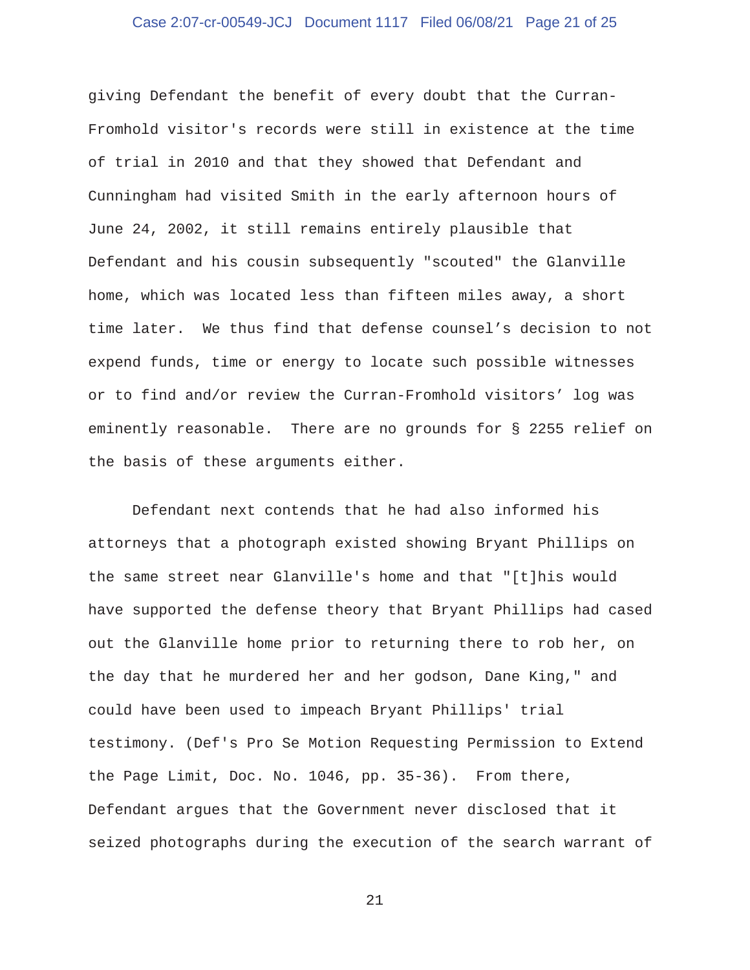## Case 2:07-cr-00549-JCJ Document 1117 Filed 06/08/21 Page 21 of 25

giving Defendant the benefit of every doubt that the Curran-Fromhold visitor's records were still in existence at the time of trial in 2010 and that they showed that Defendant and Cunningham had visited Smith in the early afternoon hours of June 24, 2002, it still remains entirely plausible that Defendant and his cousin subsequently "scouted" the Glanville home, which was located less than fifteen miles away, a short time later. We thus find that defense counsel's decision to not expend funds, time or energy to locate such possible witnesses or to find and/or review the Curran-Fromhold visitors' log was eminently reasonable. There are no grounds for § 2255 relief on the basis of these arguments either.

 Defendant next contends that he had also informed his attorneys that a photograph existed showing Bryant Phillips on the same street near Glanville's home and that "[t]his would have supported the defense theory that Bryant Phillips had cased out the Glanville home prior to returning there to rob her, on the day that he murdered her and her godson, Dane King," and could have been used to impeach Bryant Phillips' trial testimony. (Def's Pro Se Motion Requesting Permission to Extend the Page Limit, Doc. No. 1046, pp. 35-36). From there, Defendant argues that the Government never disclosed that it seized photographs during the execution of the search warrant of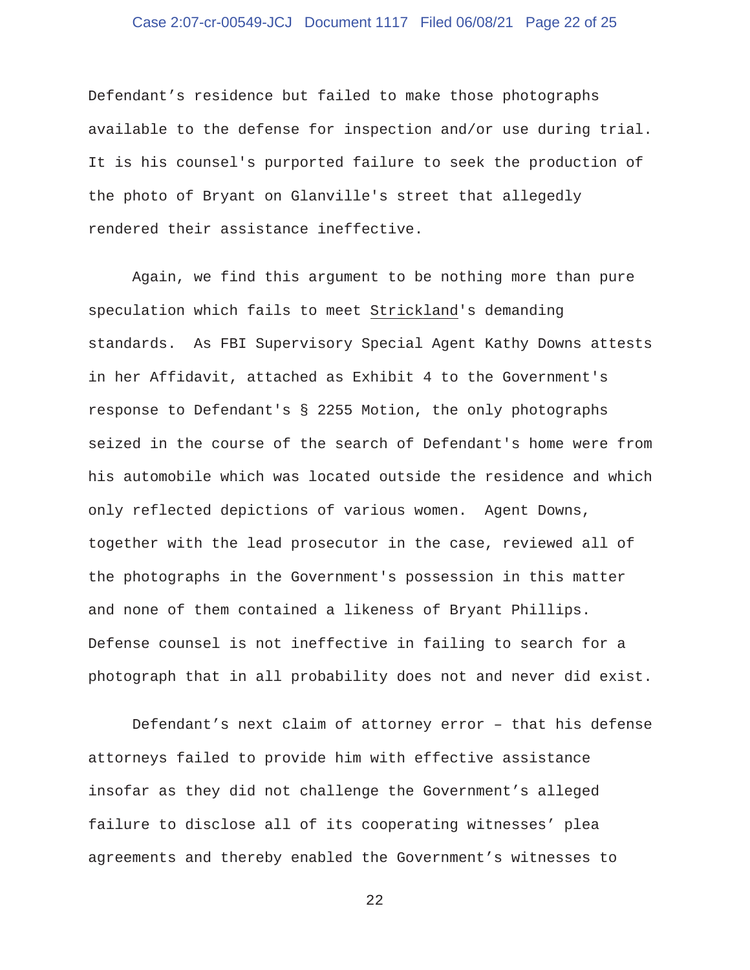## Case 2:07-cr-00549-JCJ Document 1117 Filed 06/08/21 Page 22 of 25

Defendant's residence but failed to make those photographs available to the defense for inspection and/or use during trial. It is his counsel's purported failure to seek the production of the photo of Bryant on Glanville's street that allegedly rendered their assistance ineffective.

 Again, we find this argument to be nothing more than pure speculation which fails to meet Strickland's demanding standards. As FBI Supervisory Special Agent Kathy Downs attests in her Affidavit, attached as Exhibit 4 to the Government's response to Defendant's § 2255 Motion, the only photographs seized in the course of the search of Defendant's home were from his automobile which was located outside the residence and which only reflected depictions of various women. Agent Downs, together with the lead prosecutor in the case, reviewed all of the photographs in the Government's possession in this matter and none of them contained a likeness of Bryant Phillips. Defense counsel is not ineffective in failing to search for a photograph that in all probability does not and never did exist.

 Defendant's next claim of attorney error – that his defense attorneys failed to provide him with effective assistance insofar as they did not challenge the Government's alleged failure to disclose all of its cooperating witnesses' plea agreements and thereby enabled the Government's witnesses to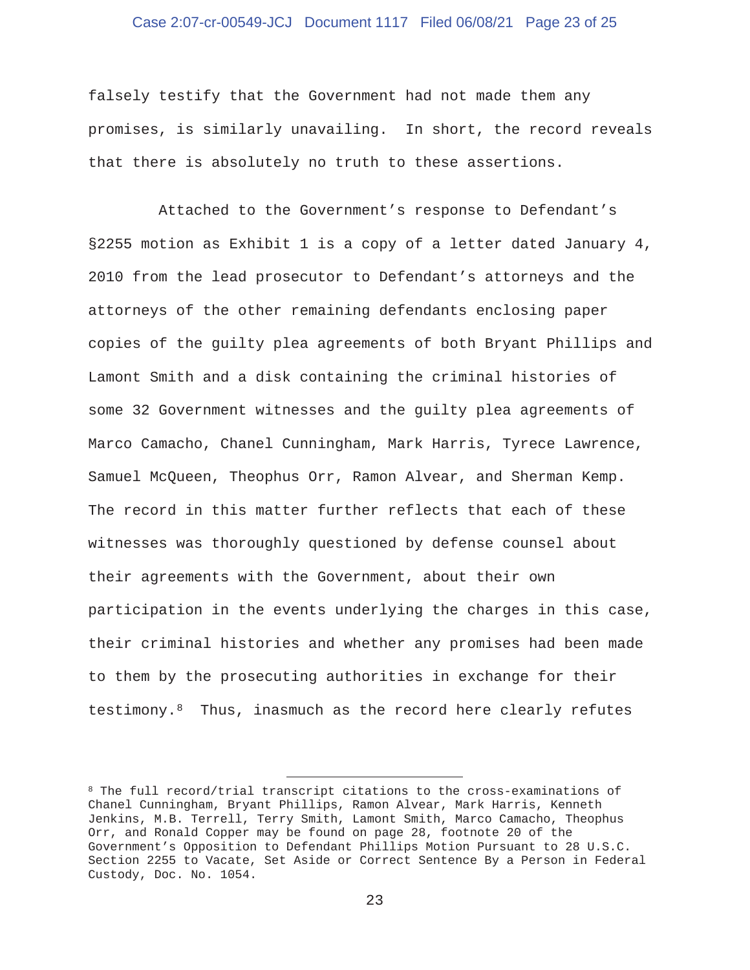## Case 2:07-cr-00549-JCJ Document 1117 Filed 06/08/21 Page 23 of 25

falsely testify that the Government had not made them any promises, is similarly unavailing. In short, the record reveals that there is absolutely no truth to these assertions.

 Attached to the Government's response to Defendant's §2255 motion as Exhibit 1 is a copy of a letter dated January 4, 2010 from the lead prosecutor to Defendant's attorneys and the attorneys of the other remaining defendants enclosing paper copies of the guilty plea agreements of both Bryant Phillips and Lamont Smith and a disk containing the criminal histories of some 32 Government witnesses and the guilty plea agreements of Marco Camacho, Chanel Cunningham, Mark Harris, Tyrece Lawrence, Samuel McQueen, Theophus Orr, Ramon Alvear, and Sherman Kemp. The record in this matter further reflects that each of these witnesses was thoroughly questioned by defense counsel about their agreements with the Government, about their own participation in the events underlying the charges in this case, their criminal histories and whether any promises had been made to them by the prosecuting authorities in exchange for their testimony.<sup>8</sup> Thus, inasmuch as the record here clearly refutes

<sup>8</sup> The full record/trial transcript citations to the cross-examinations of Chanel Cunningham, Bryant Phillips, Ramon Alvear, Mark Harris, Kenneth Jenkins, M.B. Terrell, Terry Smith, Lamont Smith, Marco Camacho, Theophus Orr, and Ronald Copper may be found on page 28, footnote 20 of the Government's Opposition to Defendant Phillips Motion Pursuant to 28 U.S.C. Section 2255 to Vacate, Set Aside or Correct Sentence By a Person in Federal Custody, Doc. No. 1054.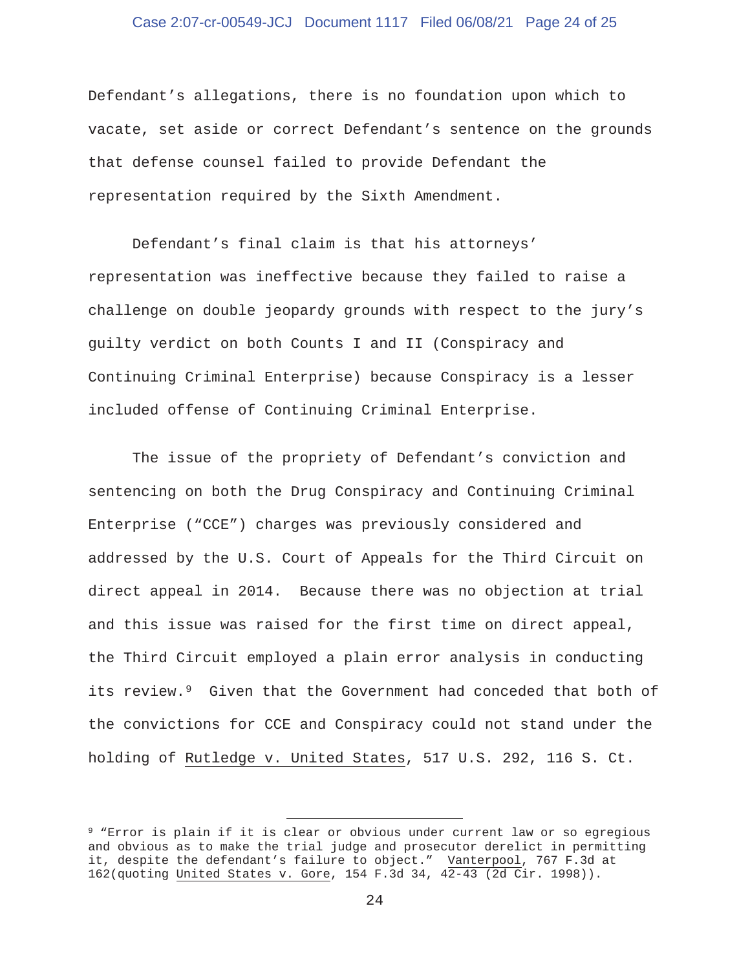## Case 2:07-cr-00549-JCJ Document 1117 Filed 06/08/21 Page 24 of 25

Defendant's allegations, there is no foundation upon which to vacate, set aside or correct Defendant's sentence on the grounds that defense counsel failed to provide Defendant the representation required by the Sixth Amendment.

 Defendant's final claim is that his attorneys' representation was ineffective because they failed to raise a challenge on double jeopardy grounds with respect to the jury's guilty verdict on both Counts I and II (Conspiracy and Continuing Criminal Enterprise) because Conspiracy is a lesser included offense of Continuing Criminal Enterprise.

 The issue of the propriety of Defendant's conviction and sentencing on both the Drug Conspiracy and Continuing Criminal Enterprise ("CCE") charges was previously considered and addressed by the U.S. Court of Appeals for the Third Circuit on direct appeal in 2014. Because there was no objection at trial and this issue was raised for the first time on direct appeal, the Third Circuit employed a plain error analysis in conducting its review.<sup>9</sup> Given that the Government had conceded that both of the convictions for CCE and Conspiracy could not stand under the holding of Rutledge v. United States, 517 U.S. 292, 116 S. Ct.

<sup>9 &</sup>quot;Error is plain if it is clear or obvious under current law or so egregious and obvious as to make the trial judge and prosecutor derelict in permitting it, despite the defendant's failure to object." Vanterpool, 767 F.3d at 162(quoting United States v. Gore, 154 F.3d 34, 42-43 (2d Cir. 1998)).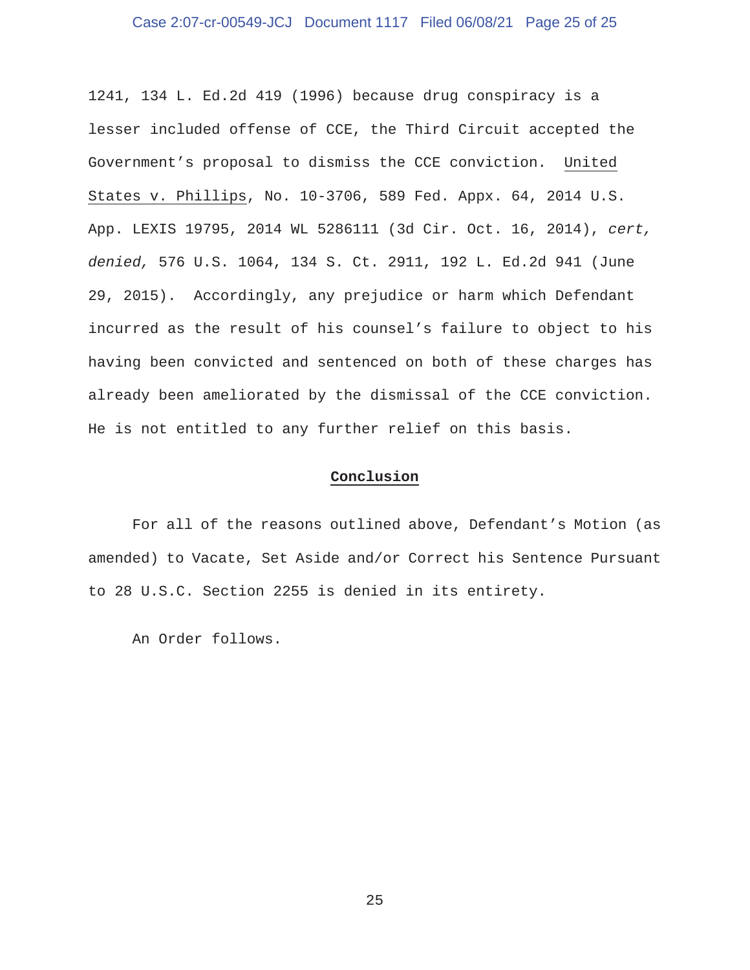## Case 2:07-cr-00549-JCJ Document 1117 Filed 06/08/21 Page 25 of 25

1241, 134 L. Ed.2d 419 (1996) because drug conspiracy is a lesser included offense of CCE, the Third Circuit accepted the Government's proposal to dismiss the CCE conviction. United States v. Phillips, No. 10-3706, 589 Fed. Appx. 64, 2014 U.S. App. LEXIS 19795, 2014 WL 5286111 (3d Cir. Oct. 16, 2014), *cert, denied,* 576 U.S. 1064, 134 S. Ct. 2911, 192 L. Ed.2d 941 (June 29, 2015). Accordingly, any prejudice or harm which Defendant incurred as the result of his counsel's failure to object to his having been convicted and sentenced on both of these charges has already been ameliorated by the dismissal of the CCE conviction. He is not entitled to any further relief on this basis.

## **Conclusion**

 For all of the reasons outlined above, Defendant's Motion (as amended) to Vacate, Set Aside and/or Correct his Sentence Pursuant to 28 U.S.C. Section 2255 is denied in its entirety.

An Order follows.